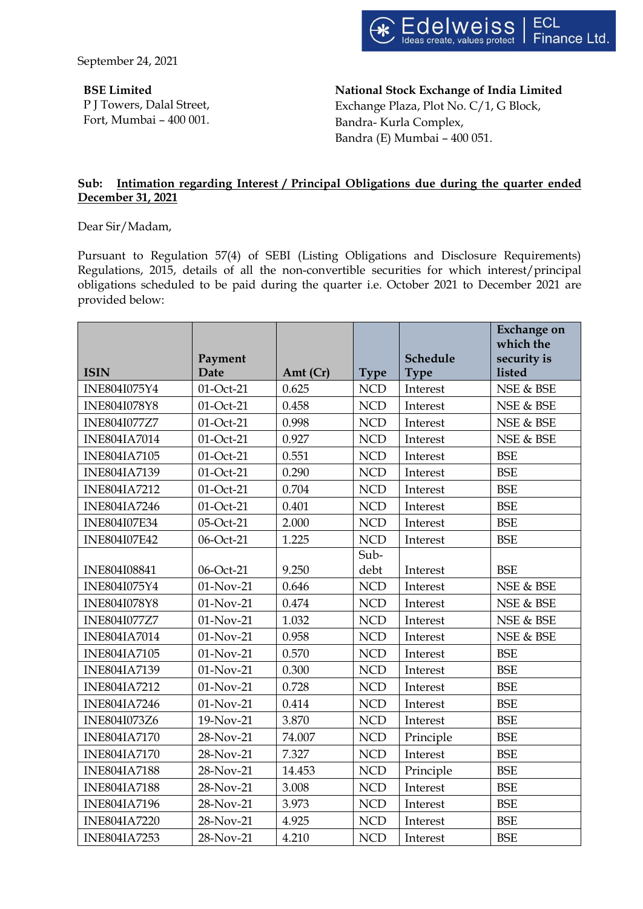September 24, 2021

**BSE Limited** P J Towers, Dalal Street, Fort, Mumbai – 400 001. **National Stock Exchange of India Limited** Exchange Plaza, Plot No. C/1, G Block, Bandra- Kurla Complex, Bandra (E) Mumbai – 400 051.

### **Sub: Intimation regarding Interest / Principal Obligations due during the quarter ended December 31, 2021**

Dear Sir/Madam,

Pursuant to Regulation 57(4) of SEBI (Listing Obligations and Disclosure Requirements) Regulations, 2015, details of all the non-convertible securities for which interest/principal obligations scheduled to be paid during the quarter i.e. October 2021 to December 2021 are provided below:

|                     |             |            |             |             | <b>Exchange on</b><br>which the |
|---------------------|-------------|------------|-------------|-------------|---------------------------------|
|                     | Payment     |            |             | Schedule    | security is                     |
| <b>ISIN</b>         | <b>Date</b> | Amt $(Cr)$ | <b>Type</b> | <b>Type</b> | listed                          |
| INE804I075Y4        | 01-Oct-21   | 0.625      | <b>NCD</b>  | Interest    | NSE & BSE                       |
| <b>INE804I078Y8</b> | 01-Oct-21   | 0.458      | <b>NCD</b>  | Interest    | NSE & BSE                       |
| INE804I077Z7        | 01-Oct-21   | 0.998      | <b>NCD</b>  | Interest    | NSE & BSE                       |
| <b>INE804IA7014</b> | 01-Oct-21   | 0.927      | <b>NCD</b>  | Interest    | NSE & BSE                       |
| <b>INE804IA7105</b> | 01-Oct-21   | 0.551      | <b>NCD</b>  | Interest    | <b>BSE</b>                      |
| <b>INE804IA7139</b> | 01-Oct-21   | 0.290      | <b>NCD</b>  | Interest    | <b>BSE</b>                      |
| <b>INE804IA7212</b> | 01-Oct-21   | 0.704      | <b>NCD</b>  | Interest    | <b>BSE</b>                      |
| <b>INE804IA7246</b> | 01-Oct-21   | 0.401      | <b>NCD</b>  | Interest    | <b>BSE</b>                      |
| <b>INE804I07E34</b> | 05-Oct-21   | 2.000      | <b>NCD</b>  | Interest    | <b>BSE</b>                      |
| <b>INE804I07E42</b> | 06-Oct-21   | 1.225      | <b>NCD</b>  | Interest    | <b>BSE</b>                      |
|                     |             |            | Sub-        |             |                                 |
| <b>INE804I08841</b> | 06-Oct-21   | 9.250      | debt        | Interest    | <b>BSE</b>                      |
| INE804I075Y4        | $01-Nov-21$ | 0.646      | <b>NCD</b>  | Interest    | NSE & BSE                       |
| <b>INE804I078Y8</b> | 01-Nov-21   | 0.474      | <b>NCD</b>  | Interest    | NSE & BSE                       |
| <b>INE804I077Z7</b> | 01-Nov-21   | 1.032      | <b>NCD</b>  | Interest    | NSE & BSE                       |
| <b>INE804IA7014</b> | 01-Nov-21   | 0.958      | <b>NCD</b>  | Interest    | NSE & BSE                       |
| <b>INE804IA7105</b> | $01-Nov-21$ | 0.570      | <b>NCD</b>  | Interest    | <b>BSE</b>                      |
| <b>INE804IA7139</b> | 01-Nov-21   | 0.300      | <b>NCD</b>  | Interest    | <b>BSE</b>                      |
| <b>INE804IA7212</b> | 01-Nov-21   | 0.728      | <b>NCD</b>  | Interest    | <b>BSE</b>                      |
| <b>INE804IA7246</b> | 01-Nov-21   | 0.414      | <b>NCD</b>  | Interest    | <b>BSE</b>                      |
| INE804I073Z6        | 19-Nov-21   | 3.870      | <b>NCD</b>  | Interest    | <b>BSE</b>                      |
| <b>INE804IA7170</b> | 28-Nov-21   | 74.007     | <b>NCD</b>  | Principle   | <b>BSE</b>                      |
| <b>INE804IA7170</b> | 28-Nov-21   | 7.327      | <b>NCD</b>  | Interest    | <b>BSE</b>                      |
| <b>INE804IA7188</b> | 28-Nov-21   | 14.453     | <b>NCD</b>  | Principle   | <b>BSE</b>                      |
| <b>INE804IA7188</b> | 28-Nov-21   | 3.008      | <b>NCD</b>  | Interest    | <b>BSE</b>                      |
| <b>INE804IA7196</b> | 28-Nov-21   | 3.973      | <b>NCD</b>  | Interest    | <b>BSE</b>                      |
| <b>INE804IA7220</b> | 28-Nov-21   | 4.925      | <b>NCD</b>  | Interest    | <b>BSE</b>                      |
| <b>INE804IA7253</b> | 28-Nov-21   | 4.210      | <b>NCD</b>  | Interest    | <b>BSE</b>                      |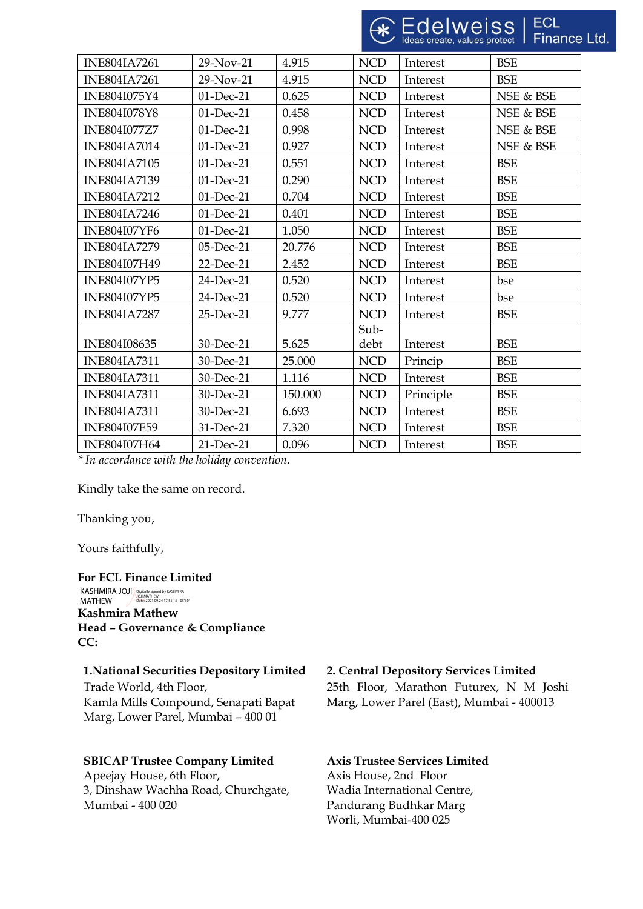| <b>INE804IA7261</b> | 29-Nov-21    | 4.915   | <b>NCD</b> | Interest  | <b>BSE</b> |
|---------------------|--------------|---------|------------|-----------|------------|
| <b>INE804IA7261</b> | 29-Nov-21    | 4.915   | <b>NCD</b> | Interest  | <b>BSE</b> |
| INE804I075Y4        | 01-Dec-21    | 0.625   | <b>NCD</b> | Interest  | NSE & BSE  |
| <b>INE804I078Y8</b> | 01-Dec-21    | 0.458   | <b>NCD</b> | Interest  | NSE & BSE  |
| <b>INE804I077Z7</b> | 01-Dec-21    | 0.998   | <b>NCD</b> | Interest  | NSE & BSE  |
| <b>INE804IA7014</b> | 01-Dec-21    | 0.927   | <b>NCD</b> | Interest  | NSE & BSE  |
| <b>INE804IA7105</b> | $01$ -Dec-21 | 0.551   | <b>NCD</b> | Interest  | <b>BSE</b> |
| <b>INE804IA7139</b> | 01-Dec-21    | 0.290   | <b>NCD</b> | Interest  | <b>BSE</b> |
| <b>INE804IA7212</b> | 01-Dec-21    | 0.704   | <b>NCD</b> | Interest  | <b>BSE</b> |
| <b>INE804IA7246</b> | $01$ -Dec-21 | 0.401   | <b>NCD</b> | Interest  | <b>BSE</b> |
| <b>INE804I07YF6</b> | 01-Dec-21    | 1.050   | <b>NCD</b> | Interest  | <b>BSE</b> |
| <b>INE804IA7279</b> | 05-Dec-21    | 20.776  | <b>NCD</b> | Interest  | <b>BSE</b> |
| INE804I07H49        | 22-Dec-21    | 2.452   | <b>NCD</b> | Interest  | <b>BSE</b> |
| <b>INE804I07YP5</b> | 24-Dec-21    | 0.520   | <b>NCD</b> | Interest  | bse        |
| <b>INE804I07YP5</b> | 24-Dec-21    | 0.520   | <b>NCD</b> | Interest  | bse        |
| <b>INE804IA7287</b> | 25-Dec-21    | 9.777   | <b>NCD</b> | Interest  | <b>BSE</b> |
|                     |              |         | Sub-       |           |            |
| INE804I08635        | 30-Dec-21    | 5.625   | debt       | Interest  | <b>BSE</b> |
| <b>INE804IA7311</b> | 30-Dec-21    | 25.000  | <b>NCD</b> | Princip   | <b>BSE</b> |
| <b>INE804IA7311</b> | 30-Dec-21    | 1.116   | <b>NCD</b> | Interest  | <b>BSE</b> |
| <b>INE804IA7311</b> | 30-Dec-21    | 150.000 | <b>NCD</b> | Principle | <b>BSE</b> |
| <b>INE804IA7311</b> | 30-Dec-21    | 6.693   | <b>NCD</b> | Interest  | <b>BSE</b> |
| <b>INE804I07E59</b> | 31-Dec-21    | 7.320   | <b>NCD</b> | Interest  | <b>BSE</b> |
| <b>INE804I07H64</b> | 21-Dec-21    | 0.096   | <b>NCD</b> | Interest  | <b>BSE</b> |

*\* In accordance with the holiday convention.*

Kindly take the same on record.

Thanking you,

Yours faithfully,

**CC:**

#### **For ECL Finance Limited**

**Kashmira Mathew Head – Governance & Compliance** KASHMIRA JOJI KASHMIRA JOJI | Digitally signed by KASHMIRA<br>MATHEW <del>| Date:</del> 2021.09.24 17:55:15 +05'30

Trade World, 4th Floor, Kamla Mills Compound, Senapati Bapat Marg, Lower Parel, Mumbai – 400 01

# **SBICAP Trustee Company Limited**

Apeejay House, 6th Floor, 3, Dinshaw Wachha Road, Churchgate, Mumbai - 400 020

## **1.National Securities Depository Limited 2. Central Depository Services Limited**

25th Floor, Marathon Futurex, N M Joshi Marg, Lower Parel (East), Mumbai - 400013

### **Axis Trustee Services Limited**

Axis House, 2nd Floor Wadia International Centre, Pandurang Budhkar Marg Worli, Mumbai-400 025